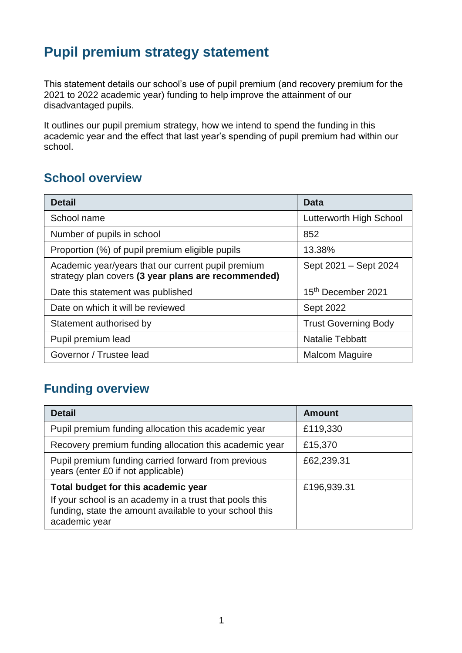## **Pupil premium strategy statement**

This statement details our school's use of pupil premium (and recovery premium for the 2021 to 2022 academic year) funding to help improve the attainment of our disadvantaged pupils.

It outlines our pupil premium strategy, how we intend to spend the funding in this academic year and the effect that last year's spending of pupil premium had within our school.

#### **School overview**

| <b>Detail</b>                                                                                             | Data                        |
|-----------------------------------------------------------------------------------------------------------|-----------------------------|
| School name                                                                                               | Lutterworth High School     |
| Number of pupils in school                                                                                | 852                         |
| Proportion (%) of pupil premium eligible pupils                                                           | 13.38%                      |
| Academic year/years that our current pupil premium<br>strategy plan covers (3 year plans are recommended) | Sept 2021 - Sept 2024       |
| Date this statement was published                                                                         | 15th December 2021          |
| Date on which it will be reviewed                                                                         | <b>Sept 2022</b>            |
| Statement authorised by                                                                                   | <b>Trust Governing Body</b> |
| Pupil premium lead                                                                                        | <b>Natalie Tebbatt</b>      |
| Governor / Trustee lead                                                                                   | <b>Malcom Maguire</b>       |

#### **Funding overview**

| <b>Detail</b>                                                                                                                       | <b>Amount</b> |
|-------------------------------------------------------------------------------------------------------------------------------------|---------------|
| Pupil premium funding allocation this academic year                                                                                 | £119,330      |
| Recovery premium funding allocation this academic year                                                                              | £15,370       |
| Pupil premium funding carried forward from previous<br>years (enter £0 if not applicable)                                           | £62,239.31    |
| Total budget for this academic year                                                                                                 | £196,939.31   |
| If your school is an academy in a trust that pools this<br>funding, state the amount available to your school this<br>academic year |               |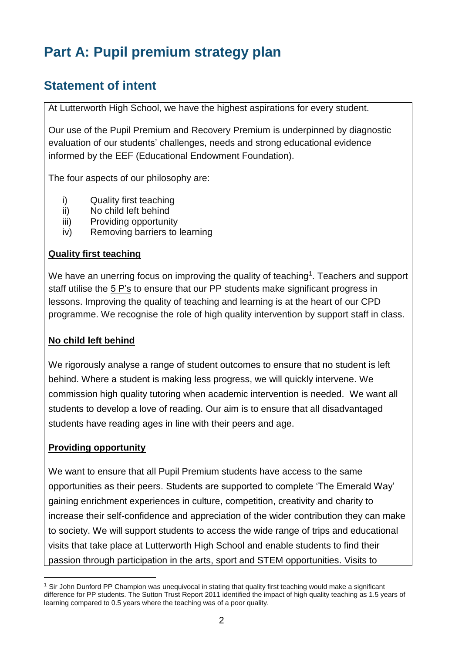## **Part A: Pupil premium strategy plan**

### **Statement of intent**

At Lutterworth High School, we have the highest aspirations for every student.

Our use of the Pupil Premium and Recovery Premium is underpinned by diagnostic evaluation of our students' challenges, needs and strong educational evidence informed by the EEF (Educational Endowment Foundation).

The four aspects of our philosophy are:

- i) Quality first teaching
- ii) No child left behind
- iii) Providing opportunity
- iv) Removing barriers to learning

#### **Quality first teaching**

We have an unerring focus on improving the quality of teaching<sup>1</sup>. Teachers and support staff utilise the 5 P's to ensure that our PP students make significant progress in lessons. Improving the quality of teaching and learning is at the heart of our CPD programme. We recognise the role of high quality intervention by support staff in class.

#### **No child left behind**

We rigorously analyse a range of student outcomes to ensure that no student is left behind. Where a student is making less progress, we will quickly intervene. We commission high quality tutoring when academic intervention is needed. We want all students to develop a love of reading. Our aim is to ensure that all disadvantaged students have reading ages in line with their peers and age.

#### **Providing opportunity**

 $\overline{a}$ 

We want to ensure that all Pupil Premium students have access to the same opportunities as their peers. Students are supported to complete 'The Emerald Way' gaining enrichment experiences in culture, competition, creativity and charity to increase their self-confidence and appreciation of the wider contribution they can make to society. We will support students to access the wide range of trips and educational visits that take place at Lutterworth High School and enable students to find their passion through participation in the arts, sport and STEM opportunities. Visits to

<sup>&</sup>lt;sup>1</sup> Sir John Dunford PP Champion was unequivocal in stating that quality first teaching would make a significant difference for PP students. The Sutton Trust Report 2011 identified the impact of high quality teaching as 1.5 years of learning compared to 0.5 years where the teaching was of a poor quality.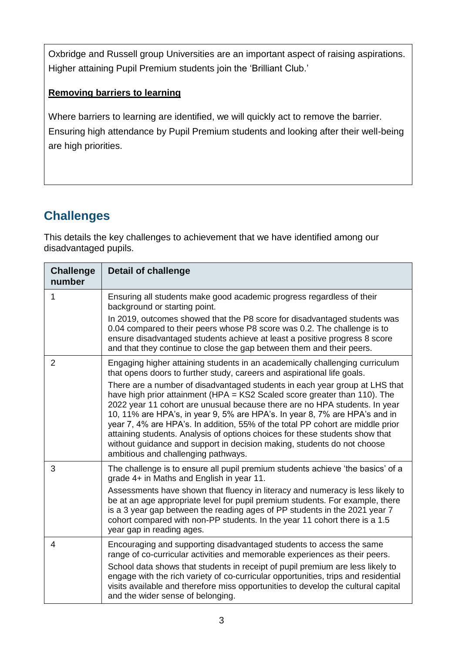Oxbridge and Russell group Universities are an important aspect of raising aspirations. Higher attaining Pupil Premium students join the 'Brilliant Club.'

#### **Removing barriers to learning**

Where barriers to learning are identified, we will quickly act to remove the barrier. Ensuring high attendance by Pupil Premium students and looking after their well-being are high priorities.

### **Challenges**

This details the key challenges to achievement that we have identified among our disadvantaged pupils.

| <b>Challenge</b><br>number | <b>Detail of challenge</b>                                                                                                                                                                                                                                                                                                                                                                                                                                                                                                                                                                                                                                                                                                                                          |
|----------------------------|---------------------------------------------------------------------------------------------------------------------------------------------------------------------------------------------------------------------------------------------------------------------------------------------------------------------------------------------------------------------------------------------------------------------------------------------------------------------------------------------------------------------------------------------------------------------------------------------------------------------------------------------------------------------------------------------------------------------------------------------------------------------|
| 1                          | Ensuring all students make good academic progress regardless of their<br>background or starting point.<br>In 2019, outcomes showed that the P8 score for disadvantaged students was<br>0.04 compared to their peers whose P8 score was 0.2. The challenge is to<br>ensure disadvantaged students achieve at least a positive progress 8 score<br>and that they continue to close the gap between them and their peers.                                                                                                                                                                                                                                                                                                                                              |
| $\overline{2}$             | Engaging higher attaining students in an academically challenging curriculum<br>that opens doors to further study, careers and aspirational life goals.<br>There are a number of disadvantaged students in each year group at LHS that<br>have high prior attainment (HPA = KS2 Scaled score greater than 110). The<br>2022 year 11 cohort are unusual because there are no HPA students. In year<br>10, 11% are HPA's, in year 9, 5% are HPA's. In year 8, 7% are HPA's and in<br>year 7, 4% are HPA's. In addition, 55% of the total PP cohort are middle prior<br>attaining students. Analysis of options choices for these students show that<br>without guidance and support in decision making, students do not choose<br>ambitious and challenging pathways. |
| 3                          | The challenge is to ensure all pupil premium students achieve 'the basics' of a<br>grade 4+ in Maths and English in year 11.<br>Assessments have shown that fluency in literacy and numeracy is less likely to<br>be at an age appropriate level for pupil premium students. For example, there<br>is a 3 year gap between the reading ages of PP students in the 2021 year 7<br>cohort compared with non-PP students. In the year 11 cohort there is a 1.5<br>year gap in reading ages.                                                                                                                                                                                                                                                                            |
| 4                          | Encouraging and supporting disadvantaged students to access the same<br>range of co-curricular activities and memorable experiences as their peers.<br>School data shows that students in receipt of pupil premium are less likely to<br>engage with the rich variety of co-curricular opportunities, trips and residential<br>visits available and therefore miss opportunities to develop the cultural capital<br>and the wider sense of belonging.                                                                                                                                                                                                                                                                                                               |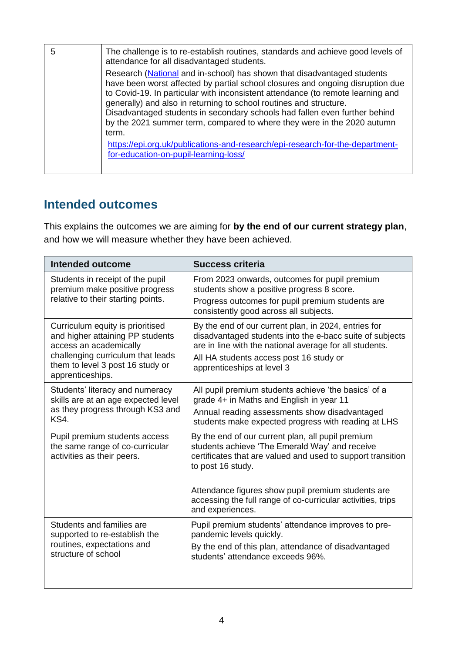| 5 | The challenge is to re-establish routines, standards and achieve good levels of<br>attendance for all disadvantaged students.                                                                                                                                                                                                                                                                                                                                                                                                                                                                                  |
|---|----------------------------------------------------------------------------------------------------------------------------------------------------------------------------------------------------------------------------------------------------------------------------------------------------------------------------------------------------------------------------------------------------------------------------------------------------------------------------------------------------------------------------------------------------------------------------------------------------------------|
|   | Research (National and in-school) has shown that disadvantaged students<br>have been worst affected by partial school closures and ongoing disruption due<br>to Covid-19. In particular with inconsistent attendance (to remote learning and<br>generally) and also in returning to school routines and structure.<br>Disadvantaged students in secondary schools had fallen even further behind<br>by the 2021 summer term, compared to where they were in the 2020 autumn<br>term.<br>https://epi.org.uk/publications-and-research/epi-research-for-the-department-<br>for-education-on-pupil-learning-loss/ |

### **Intended outcomes**

This explains the outcomes we are aiming for **by the end of our current strategy plan**, and how we will measure whether they have been achieved.

| <b>Intended outcome</b>                                                                                                                                                                     | <b>Success criteria</b>                                                                                                                                                                                                                              |  |
|---------------------------------------------------------------------------------------------------------------------------------------------------------------------------------------------|------------------------------------------------------------------------------------------------------------------------------------------------------------------------------------------------------------------------------------------------------|--|
| Students in receipt of the pupil<br>premium make positive progress<br>relative to their starting points.                                                                                    | From 2023 onwards, outcomes for pupil premium<br>students show a positive progress 8 score.                                                                                                                                                          |  |
|                                                                                                                                                                                             | Progress outcomes for pupil premium students are<br>consistently good across all subjects.                                                                                                                                                           |  |
| Curriculum equity is prioritised<br>and higher attaining PP students<br>access an academically<br>challenging curriculum that leads<br>them to level 3 post 16 study or<br>apprenticeships. | By the end of our current plan, in 2024, entries for<br>disadvantaged students into the e-bacc suite of subjects<br>are in line with the national average for all students.<br>All HA students access post 16 study or<br>apprenticeships at level 3 |  |
| Students' literacy and numeracy<br>skills are at an age expected level                                                                                                                      | All pupil premium students achieve 'the basics' of a<br>grade 4+ in Maths and English in year 11                                                                                                                                                     |  |
| as they progress through KS3 and<br>KS4.                                                                                                                                                    | Annual reading assessments show disadvantaged<br>students make expected progress with reading at LHS                                                                                                                                                 |  |
| Pupil premium students access<br>the same range of co-curricular<br>activities as their peers.                                                                                              | By the end of our current plan, all pupil premium<br>students achieve 'The Emerald Way' and receive<br>certificates that are valued and used to support transition<br>to post 16 study.                                                              |  |
|                                                                                                                                                                                             | Attendance figures show pupil premium students are<br>accessing the full range of co-curricular activities, trips<br>and experiences.                                                                                                                |  |
| Students and families are<br>supported to re-establish the                                                                                                                                  | Pupil premium students' attendance improves to pre-<br>pandemic levels quickly.                                                                                                                                                                      |  |
| routines, expectations and<br>structure of school                                                                                                                                           | By the end of this plan, attendance of disadvantaged<br>students' attendance exceeds 96%.                                                                                                                                                            |  |
|                                                                                                                                                                                             |                                                                                                                                                                                                                                                      |  |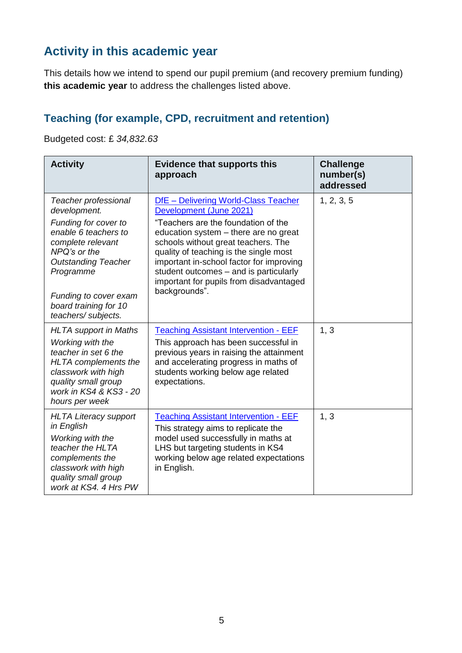### **Activity in this academic year**

This details how we intend to spend our pupil premium (and recovery premium funding) **this academic year** to address the challenges listed above.

#### **Teaching (for example, CPD, recruitment and retention)**

Budgeted cost: £ *34,832.63*

| <b>Activity</b>                                                                                                                                                                                                                              | <b>Evidence that supports this</b><br>approach                                                                                                                                                                                                                                                                                                                                     | <b>Challenge</b><br>number(s)<br>addressed |
|----------------------------------------------------------------------------------------------------------------------------------------------------------------------------------------------------------------------------------------------|------------------------------------------------------------------------------------------------------------------------------------------------------------------------------------------------------------------------------------------------------------------------------------------------------------------------------------------------------------------------------------|--------------------------------------------|
| Teacher professional<br>development.<br>Funding for cover to<br>enable 6 teachers to<br>complete relevant<br>NPQ's or the<br><b>Outstanding Teacher</b><br>Programme<br>Funding to cover exam<br>board training for 10<br>teachers/subjects. | DfE - Delivering World-Class Teacher<br>Development (June 2021)<br>"Teachers are the foundation of the<br>education system – there are no great<br>schools without great teachers. The<br>quality of teaching is the single most<br>important in-school factor for improving<br>student outcomes - and is particularly<br>important for pupils from disadvantaged<br>backgrounds". | 1, 2, 3, 5                                 |
| <b>HLTA</b> support in Maths<br>Working with the<br>teacher in set 6 the<br>HLTA complements the<br>classwork with high<br>quality small group<br>work in KS4 & KS3 - 20<br>hours per week                                                   | <b>Teaching Assistant Intervention - EEF</b><br>This approach has been successful in<br>previous years in raising the attainment<br>and accelerating progress in maths of<br>students working below age related<br>expectations.                                                                                                                                                   | 1, 3                                       |
| <b>HLTA Literacy support</b><br>in English<br>Working with the<br>teacher the HLTA<br>complements the<br>classwork with high<br>quality small group<br>work at KS4, 4 Hrs PW                                                                 | <b>Teaching Assistant Intervention - EEF</b><br>This strategy aims to replicate the<br>model used successfully in maths at<br>LHS but targeting students in KS4<br>working below age related expectations<br>in English.                                                                                                                                                           | 1, 3                                       |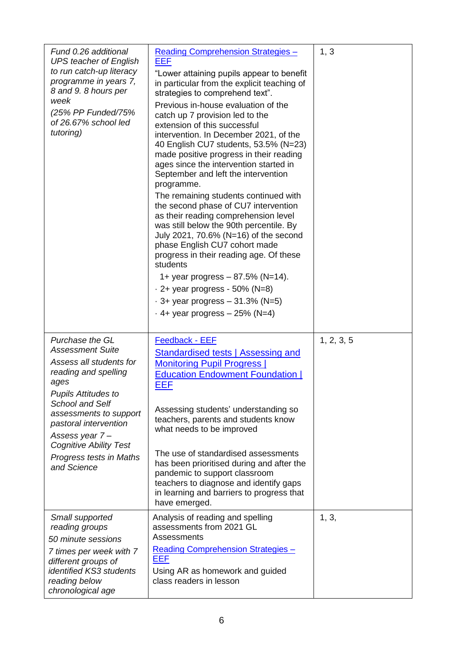| Fund 0.26 additional<br><b>UPS teacher of English</b><br>to run catch-up literacy<br>programme in years 7,<br>8 and 9.8 hours per<br>week<br>(25% PP Funded/75%)<br>of 26.67% school led<br>tutoring)                                                                                                         | Reading Comprehension Strategies -<br><b>EEF</b><br>"Lower attaining pupils appear to benefit<br>in particular from the explicit teaching of<br>strategies to comprehend text".<br>Previous in-house evaluation of the<br>catch up 7 provision led to the<br>extension of this successful<br>intervention. In December 2021, of the<br>40 English CU7 students, 53.5% (N=23)<br>made positive progress in their reading<br>ages since the intervention started in<br>September and left the intervention<br>programme.<br>The remaining students continued with<br>the second phase of CU7 intervention<br>as their reading comprehension level<br>was still below the 90th percentile. By<br>July 2021, 70.6% (N=16) of the second<br>phase English CU7 cohort made<br>progress in their reading age. Of these<br>students<br>1+ year progress $- 87.5%$ (N=14).<br>$\cdot$ 2+ year progress - 50% (N=8)<br>$-3+$ year progress $-31.3%$ (N=5)<br>$\cdot$ 4+ year progress $-$ 25% (N=4) | 1, 3       |
|---------------------------------------------------------------------------------------------------------------------------------------------------------------------------------------------------------------------------------------------------------------------------------------------------------------|-------------------------------------------------------------------------------------------------------------------------------------------------------------------------------------------------------------------------------------------------------------------------------------------------------------------------------------------------------------------------------------------------------------------------------------------------------------------------------------------------------------------------------------------------------------------------------------------------------------------------------------------------------------------------------------------------------------------------------------------------------------------------------------------------------------------------------------------------------------------------------------------------------------------------------------------------------------------------------------------|------------|
| Purchase the GL<br><b>Assessment Suite</b><br>Assess all students for<br>reading and spelling<br>ages<br><b>Pupils Attitudes to</b><br><b>School and Self</b><br>assessments to support<br>pastoral intervention<br>Assess year 7-<br><b>Cognitive Ability Test</b><br>Progress tests in Maths<br>and Science | Feedback - EEF<br>Standardised tests   Assessing and<br><b>Monitoring Pupil Progress  </b><br><b>Education Endowment Foundation  </b><br><u>EEF</u><br>Assessing students' understanding so<br>teachers, parents and students know<br>what needs to be improved<br>The use of standardised assessments<br>has been prioritised during and after the<br>pandemic to support classroom<br>teachers to diagnose and identify gaps<br>in learning and barriers to progress that<br>have emerged.                                                                                                                                                                                                                                                                                                                                                                                                                                                                                              | 1, 2, 3, 5 |
| Small supported<br>reading groups<br>50 minute sessions<br>7 times per week with 7<br>different groups of<br>identified KS3 students<br>reading below<br>chronological age                                                                                                                                    | Analysis of reading and spelling<br>assessments from 2021 GL<br>Assessments<br><b>Reading Comprehension Strategies -</b><br>EEF<br>Using AR as homework and guided<br>class readers in lesson                                                                                                                                                                                                                                                                                                                                                                                                                                                                                                                                                                                                                                                                                                                                                                                             | 1, 3,      |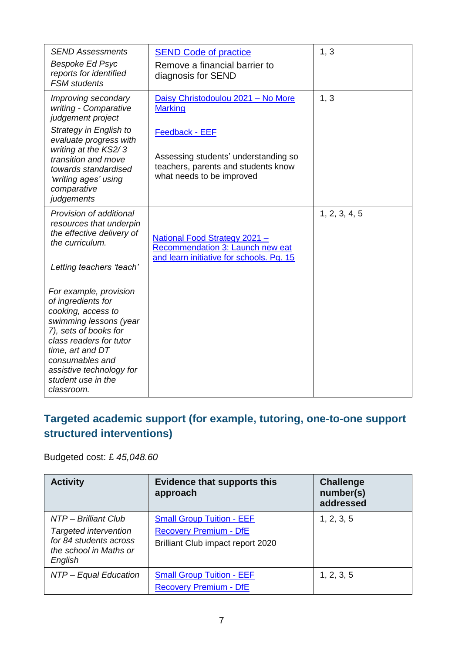| <b>SEND Assessments</b><br>Bespoke Ed Psyc<br>reports for identified<br><b>FSM</b> students                                                                                                                                                             | <b>SEND Code of practice</b><br>Remove a financial barrier to<br>diagnosis for SEND                                               | 1, 3          |
|---------------------------------------------------------------------------------------------------------------------------------------------------------------------------------------------------------------------------------------------------------|-----------------------------------------------------------------------------------------------------------------------------------|---------------|
| Improving secondary<br>writing - Comparative<br>judgement project                                                                                                                                                                                       | Daisy Christodoulou 2021 - No More<br><b>Marking</b>                                                                              | 1, 3          |
| Strategy in English to<br>evaluate progress with<br>writing at the KS2/3<br>transition and move<br>towards standardised<br>'writing ages' using<br>comparative<br>judgements                                                                            | <b>Feedback - EEF</b><br>Assessing students' understanding so<br>teachers, parents and students know<br>what needs to be improved |               |
| Provision of additional<br>resources that underpin<br>the effective delivery of<br>the curriculum.<br>Letting teachers 'teach'                                                                                                                          | National Food Strategy 2021 -<br>Recommendation 3: Launch new eat<br>and learn initiative for schools. Pg. 15                     | 1, 2, 3, 4, 5 |
| For example, provision<br>of ingredients for<br>cooking, access to<br>swimming lessons (year<br>7), sets of books for<br>class readers for tutor<br>time, art and DT<br>consumables and<br>assistive technology for<br>student use in the<br>classroom. |                                                                                                                                   |               |

#### **Targeted academic support (for example, tutoring, one-to-one support structured interventions)**

Budgeted cost: £ *45,048.60*

| <b>Activity</b>                                                                                                     | <b>Evidence that supports this</b><br>approach                                                         | <b>Challenge</b><br>number(s)<br>addressed |
|---------------------------------------------------------------------------------------------------------------------|--------------------------------------------------------------------------------------------------------|--------------------------------------------|
| NTP – Brilliant Club<br><b>Targeted intervention</b><br>for 84 students across<br>the school in Maths or<br>English | <b>Small Group Tuition - EEF</b><br><b>Recovery Premium - DfE</b><br>Brilliant Club impact report 2020 | 1, 2, 3, 5                                 |
| NTP - Equal Education                                                                                               | <b>Small Group Tuition - EEF</b><br><b>Recovery Premium - DfE</b>                                      | 1, 2, 3, 5                                 |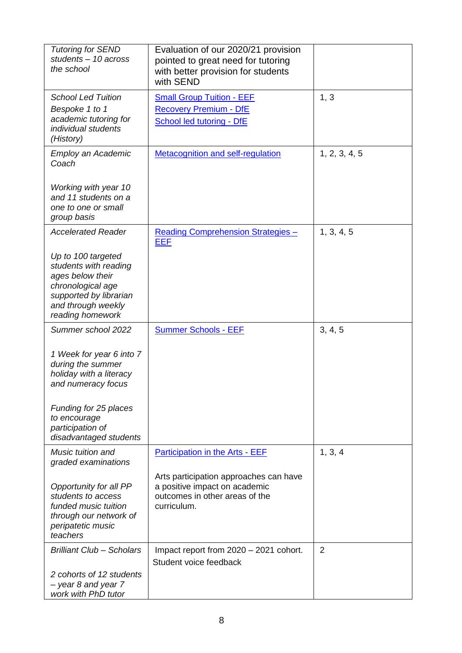| <b>Tutoring for SEND</b><br>students - 10 across<br>the school                                                                                           | Evaluation of our 2020/21 provision<br>pointed to great need for tutoring<br>with better provision for students<br>with SEND |                |
|----------------------------------------------------------------------------------------------------------------------------------------------------------|------------------------------------------------------------------------------------------------------------------------------|----------------|
| <b>School Led Tuition</b><br>Bespoke 1 to 1<br>academic tutoring for<br>individual students<br>(History)                                                 | <b>Small Group Tuition - EEF</b><br><b>Recovery Premium - DfE</b><br><b>School led tutoring - DfE</b>                        | 1, 3           |
| Employ an Academic<br>Coach                                                                                                                              | <b>Metacognition and self-regulation</b>                                                                                     | 1, 2, 3, 4, 5  |
| Working with year 10<br>and 11 students on a<br>one to one or small<br>group basis                                                                       |                                                                                                                              |                |
| <b>Accelerated Reader</b>                                                                                                                                | <b>Reading Comprehension Strategies -</b><br><u>EEF</u>                                                                      | 1, 3, 4, 5     |
| Up to 100 targeted<br>students with reading<br>ages below their<br>chronological age<br>supported by librarian<br>and through weekly<br>reading homework |                                                                                                                              |                |
| Summer school 2022                                                                                                                                       | <b>Summer Schools - EEF</b>                                                                                                  | 3, 4, 5        |
| 1 Week for year 6 into 7<br>during the summer<br>holiday with a literacy<br>and numeracy focus                                                           |                                                                                                                              |                |
| Funding for 25 places<br>to encourage<br>participation of<br>disadvantaged students                                                                      |                                                                                                                              |                |
| Music tuition and<br>graded examinations                                                                                                                 | <b>Participation in the Arts - EEF</b>                                                                                       | 1, 3, 4        |
| Opportunity for all PP<br>students to access<br>funded music tuition<br>through our network of<br>peripatetic music<br>teachers                          | Arts participation approaches can have<br>a positive impact on academic<br>outcomes in other areas of the<br>curriculum.     |                |
| <b>Brilliant Club - Scholars</b>                                                                                                                         | Impact report from 2020 - 2021 cohort.<br>Student voice feedback                                                             | $\overline{2}$ |
| 2 cohorts of 12 students<br>- year 8 and year 7<br>work with PhD tutor                                                                                   |                                                                                                                              |                |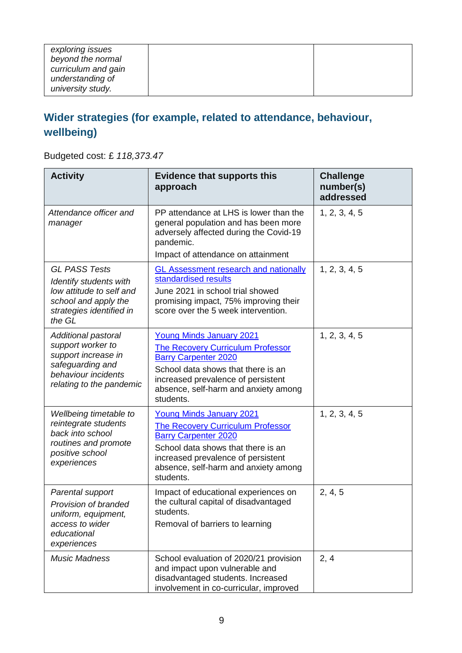| exploring issues<br>beyond the normal<br>curriculum and gain<br>understanding of<br>university study. |
|-------------------------------------------------------------------------------------------------------|
|-------------------------------------------------------------------------------------------------------|

### **Wider strategies (for example, related to attendance, behaviour, wellbeing)**

Budgeted cost: £ *118,373.47*

| <b>Activity</b>                                                                                                                               | <b>Evidence that supports this</b><br>approach                                                                                                                                                                                              | <b>Challenge</b><br>number(s)<br>addressed |
|-----------------------------------------------------------------------------------------------------------------------------------------------|---------------------------------------------------------------------------------------------------------------------------------------------------------------------------------------------------------------------------------------------|--------------------------------------------|
| Attendance officer and<br>manager                                                                                                             | PP attendance at LHS is lower than the<br>general population and has been more<br>adversely affected during the Covid-19<br>pandemic.<br>Impact of attendance on attainment                                                                 | 1, 2, 3, 4, 5                              |
| <b>GL PASS Tests</b><br>Identify students with<br>low attitude to self and<br>school and apply the<br>strategies identified in<br>the GL      | <b>GL Assessment research and nationally</b><br>standardised results<br>June 2021 in school trial showed<br>promising impact, 75% improving their<br>score over the 5 week intervention.                                                    | 1, 2, 3, 4, 5                              |
| <b>Additional pastoral</b><br>support worker to<br>support increase in<br>safeguarding and<br>behaviour incidents<br>relating to the pandemic | <b>Young Minds January 2021</b><br><b>The Recovery Curriculum Professor</b><br><b>Barry Carpenter 2020</b><br>School data shows that there is an<br>increased prevalence of persistent<br>absence, self-harm and anxiety among<br>students. | 1, 2, 3, 4, 5                              |
| Wellbeing timetable to<br>reintegrate students<br>back into school<br>routines and promote<br>positive school<br>experiences                  | <b>Young Minds January 2021</b><br><b>The Recovery Curriculum Professor</b><br><b>Barry Carpenter 2020</b><br>School data shows that there is an<br>increased prevalence of persistent<br>absence, self-harm and anxiety among<br>students. | 1, 2, 3, 4, 5                              |
| Parental support<br>Provision of branded<br>uniform, equipment,<br>access to wider<br>educational<br>experiences                              | Impact of educational experiences on<br>the cultural capital of disadvantaged<br>students.<br>Removal of barriers to learning                                                                                                               | 2, 4, 5                                    |
| <b>Music Madness</b>                                                                                                                          | School evaluation of 2020/21 provision<br>and impact upon vulnerable and<br>disadvantaged students. Increased<br>involvement in co-curricular, improved                                                                                     | 2, 4                                       |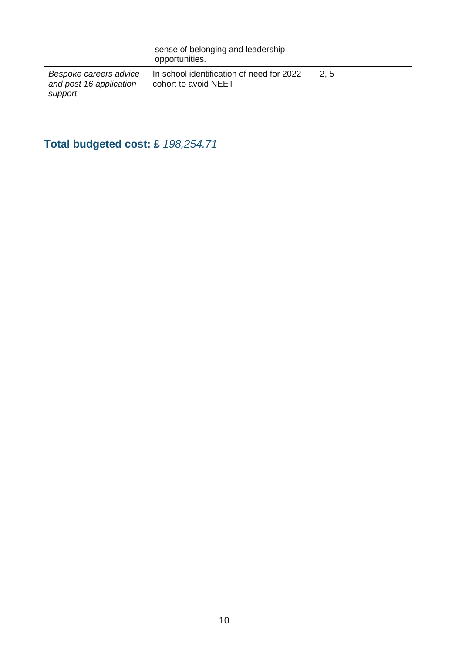|                                                              | sense of belonging and leadership<br>opportunities.               |      |
|--------------------------------------------------------------|-------------------------------------------------------------------|------|
| Bespoke careers advice<br>and post 16 application<br>support | In school identification of need for 2022<br>cohort to avoid NEET | 2, 5 |

### **Total budgeted cost: £** *198,254.71*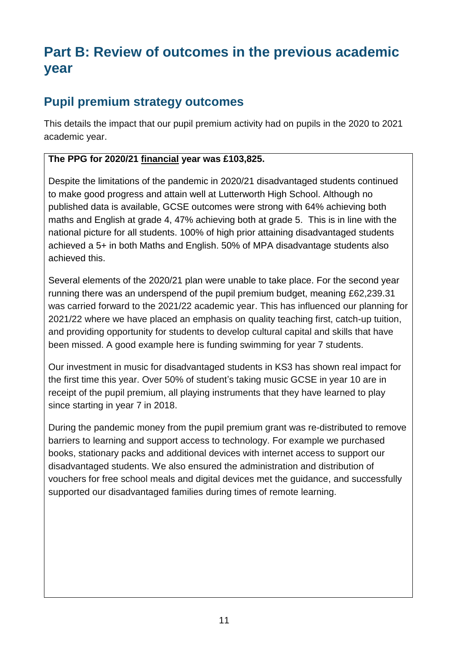## **Part B: Review of outcomes in the previous academic year**

#### **Pupil premium strategy outcomes**

This details the impact that our pupil premium activity had on pupils in the 2020 to 2021 academic year.

#### **The PPG for 2020/21 financial year was £103,825.**

Despite the limitations of the pandemic in 2020/21 disadvantaged students continued to make good progress and attain well at Lutterworth High School. Although no published data is available, GCSE outcomes were strong with 64% achieving both maths and English at grade 4, 47% achieving both at grade 5. This is in line with the national picture for all students. 100% of high prior attaining disadvantaged students achieved a 5+ in both Maths and English. 50% of MPA disadvantage students also achieved this.

Several elements of the 2020/21 plan were unable to take place. For the second year running there was an underspend of the pupil premium budget, meaning £62,239.31 was carried forward to the 2021/22 academic year. This has influenced our planning for 2021/22 where we have placed an emphasis on quality teaching first, catch-up tuition, and providing opportunity for students to develop cultural capital and skills that have been missed. A good example here is funding swimming for year 7 students.

Our investment in music for disadvantaged students in KS3 has shown real impact for the first time this year. Over 50% of student's taking music GCSE in year 10 are in receipt of the pupil premium, all playing instruments that they have learned to play since starting in year 7 in 2018.

During the pandemic money from the pupil premium grant was re-distributed to remove barriers to learning and support access to technology. For example we purchased books, stationary packs and additional devices with internet access to support our disadvantaged students. We also ensured the administration and distribution of vouchers for free school meals and digital devices met the guidance, and successfully supported our disadvantaged families during times of remote learning.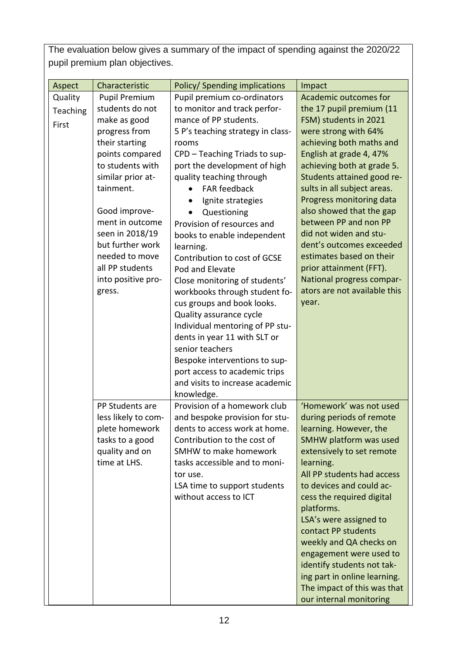The evaluation below gives a summary of the impact of spending against the 2020/22 pupil premium plan objectives.

| Aspect   | Characteristic       | Policy/ Spending implications                 | Impact                       |
|----------|----------------------|-----------------------------------------------|------------------------------|
| Quality  | <b>Pupil Premium</b> | Pupil premium co-ordinators                   | <b>Academic outcomes for</b> |
| Teaching | students do not      | to monitor and track perfor-                  | the 17 pupil premium (11     |
| First    | make as good         | mance of PP students.                         | FSM) students in 2021        |
|          | progress from        | 5 P's teaching strategy in class-             | were strong with 64%         |
|          | their starting       | rooms                                         | achieving both maths and     |
|          | points compared      | CPD - Teaching Triads to sup-                 | English at grade 4, 47%      |
|          | to students with     | port the development of high                  | achieving both at grade 5.   |
|          | similar prior at-    | quality teaching through                      | Students attained good re-   |
|          | tainment.            | <b>FAR feedback</b>                           | sults in all subject areas.  |
|          |                      | Ignite strategies                             | Progress monitoring data     |
|          | Good improve-        | Questioning                                   | also showed that the gap     |
|          | ment in outcome      | Provision of resources and                    | between PP and non PP        |
|          | seen in 2018/19      | books to enable independent                   | did not widen and stu-       |
|          | but further work     | learning.                                     | dent's outcomes exceeded     |
|          | needed to move       | Contribution to cost of GCSE                  | estimates based on their     |
|          | all PP students      | Pod and Elevate                               | prior attainment (FFT).      |
|          | into positive pro-   | Close monitoring of students'                 | National progress compar-    |
|          | gress.               | workbooks through student fo-                 | ators are not available this |
|          |                      | cus groups and book looks.                    | year.                        |
|          |                      | Quality assurance cycle                       |                              |
|          |                      | Individual mentoring of PP stu-               |                              |
|          |                      | dents in year 11 with SLT or                  |                              |
|          |                      | senior teachers                               |                              |
|          |                      | Bespoke interventions to sup-                 |                              |
|          |                      | port access to academic trips                 |                              |
|          |                      | and visits to increase academic<br>knowledge. |                              |
|          | PP Students are      | Provision of a homework club                  | 'Homework' was not used      |
|          | less likely to com-  | and bespoke provision for stu-                | during periods of remote     |
|          | plete homework       | dents to access work at home.                 | learning. However, the       |
|          | tasks to a good      | Contribution to the cost of                   | SMHW platform was used       |
|          | quality and on       | <b>SMHW to make homework</b>                  | extensively to set remote    |
|          | time at LHS.         | tasks accessible and to moni-                 | learning.                    |
|          |                      | tor use.                                      | All PP students had access   |
|          |                      | LSA time to support students                  | to devices and could ac-     |
|          |                      | without access to ICT                         | cess the required digital    |
|          |                      |                                               | platforms.                   |
|          |                      |                                               | LSA's were assigned to       |
|          |                      |                                               | contact PP students          |
|          |                      |                                               | weekly and QA checks on      |
|          |                      |                                               | engagement were used to      |
|          |                      |                                               | identify students not tak-   |
|          |                      |                                               | ing part in online learning. |
|          |                      |                                               | The impact of this was that  |
|          |                      |                                               | our internal monitoring      |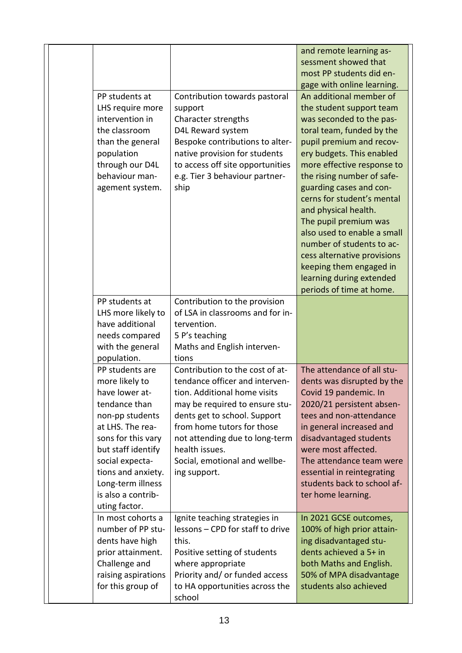|                     |                                                            | and remote learning as-     |
|---------------------|------------------------------------------------------------|-----------------------------|
|                     |                                                            | sessment showed that        |
|                     |                                                            | most PP students did en-    |
|                     |                                                            |                             |
|                     |                                                            | gage with online learning.  |
| PP students at      | Contribution towards pastoral                              | An additional member of     |
| LHS require more    | support                                                    | the student support team    |
| intervention in     | Character strengths                                        | was seconded to the pas-    |
| the classroom       | D4L Reward system                                          | toral team, funded by the   |
| than the general    | Bespoke contributions to alter-                            | pupil premium and recov-    |
| population          | native provision for students                              | ery budgets. This enabled   |
| through our D4L     | to access off site opportunities                           | more effective response to  |
| behaviour man-      | e.g. Tier 3 behaviour partner-                             | the rising number of safe-  |
| agement system.     | ship                                                       | guarding cases and con-     |
|                     |                                                            | cerns for student's mental  |
|                     |                                                            | and physical health.        |
|                     |                                                            | The pupil premium was       |
|                     |                                                            | also used to enable a small |
|                     |                                                            | number of students to ac-   |
|                     |                                                            | cess alternative provisions |
|                     |                                                            | keeping them engaged in     |
|                     |                                                            | learning during extended    |
|                     |                                                            | periods of time at home.    |
| PP students at      | Contribution to the provision                              |                             |
| LHS more likely to  | of LSA in classrooms and for in-                           |                             |
| have additional     | tervention.                                                |                             |
| needs compared      | 5 P's teaching                                             |                             |
| with the general    | Maths and English interven-                                |                             |
| population.         | tions                                                      |                             |
| PP students are     | Contribution to the cost of at-                            | The attendance of all stu-  |
| more likely to      | tendance officer and interven-                             | dents was disrupted by the  |
| have lower at-      | tion. Additional home visits                               | Covid 19 pandemic. In       |
| tendance than       | may be required to ensure stu-                             | 2020/21 persistent absen-   |
| non-pp students     |                                                            | tees and non-attendance     |
| at LHS. The rea-    | dents get to school. Support<br>from home tutors for those |                             |
|                     |                                                            | in general increased and    |
| sons for this vary  | not attending due to long-term                             | disadvantaged students      |
| but staff identify  | health issues.                                             | were most affected.         |
| social expecta-     | Social, emotional and wellbe-                              | The attendance team were    |
| tions and anxiety.  | ing support.                                               | essential in reintegrating  |
| Long-term illness   |                                                            | students back to school af- |
| is also a contrib-  |                                                            | ter home learning.          |
| uting factor.       |                                                            |                             |
| In most cohorts a   | Ignite teaching strategies in                              | In 2021 GCSE outcomes,      |
| number of PP stu-   | lessons - CPD for staff to drive                           | 100% of high prior attain-  |
| dents have high     | this.                                                      | ing disadvantaged stu-      |
| prior attainment.   | Positive setting of students                               | dents achieved a 5+ in      |
| Challenge and       | where appropriate                                          | both Maths and English.     |
| raising aspirations | Priority and/ or funded access                             | 50% of MPA disadvantage     |
| for this group of   | to HA opportunities across the                             | students also achieved      |
|                     | school                                                     |                             |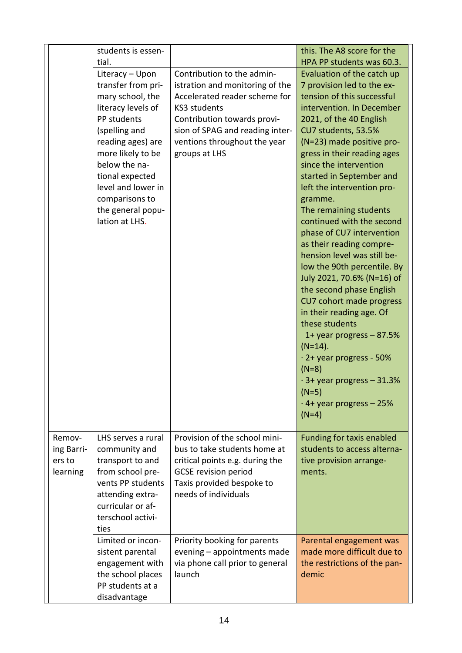| tial.<br>HPA PP students was 60.3.<br>Contribution to the admin-<br>Evaluation of the catch up<br>Literacy - Upon<br>transfer from pri-<br>7 provision led to the ex-<br>istration and monitoring of the<br>mary school, the<br>Accelerated reader scheme for<br>tension of this successful<br>literacy levels of<br><b>KS3 students</b><br>intervention. In December<br>PP students<br>Contribution towards provi-<br>2021, of the 40 English<br>sion of SPAG and reading inter-<br>(spelling and<br>CU7 students, 53.5%<br>reading ages) are<br>(N=23) made positive pro-<br>ventions throughout the year<br>more likely to be<br>groups at LHS<br>gress in their reading ages<br>below the na-<br>since the intervention<br>tional expected<br>started in September and<br>level and lower in<br>left the intervention pro-<br>comparisons to<br>gramme.<br>the general popu-<br>The remaining students<br>lation at LHS.<br>continued with the second<br>phase of CU7 intervention<br>as their reading compre-<br>hension level was still be-<br>low the 90th percentile. By<br>July 2021, 70.6% (N=16) of<br>the second phase English<br>CU7 cohort made progress<br>in their reading age. Of<br>these students<br>1+ year progress $-87.5%$<br>$(N=14)$ .<br>$\cdot$ 2+ year progress - 50%<br>$(N=8)$<br>$\cdot$ 3+ year progress – 31.3%<br>$(N=5)$<br>$\cdot$ 4+ year progress – 25%<br>$(N=4)$<br>Provision of the school mini-<br>Funding for taxis enabled<br>Remov-<br>LHS serves a rural<br>bus to take students home at<br>students to access alterna-<br>ing Barri-<br>community and<br>transport to and<br>ers to<br>critical points e.g. during the<br>tive provision arrange-<br>learning<br>from school pre-<br><b>GCSE</b> revision period<br>ments.<br>vents PP students<br>Taxis provided bespoke to<br>needs of individuals<br>attending extra-<br>curricular or af-<br>terschool activi-<br>ties<br>Limited or incon-<br>Priority booking for parents<br>Parental engagement was<br>made more difficult due to<br>evening - appointments made<br>sistent parental | students is essen- |                                 | this. The A8 score for the   |
|--------------------------------------------------------------------------------------------------------------------------------------------------------------------------------------------------------------------------------------------------------------------------------------------------------------------------------------------------------------------------------------------------------------------------------------------------------------------------------------------------------------------------------------------------------------------------------------------------------------------------------------------------------------------------------------------------------------------------------------------------------------------------------------------------------------------------------------------------------------------------------------------------------------------------------------------------------------------------------------------------------------------------------------------------------------------------------------------------------------------------------------------------------------------------------------------------------------------------------------------------------------------------------------------------------------------------------------------------------------------------------------------------------------------------------------------------------------------------------------------------------------------------------------------------------------------------------------------------------------------------------------------------------------------------------------------------------------------------------------------------------------------------------------------------------------------------------------------------------------------------------------------------------------------------------------------------------------------------------------------------------------------------------------------------------------------------------------------|--------------------|---------------------------------|------------------------------|
|                                                                                                                                                                                                                                                                                                                                                                                                                                                                                                                                                                                                                                                                                                                                                                                                                                                                                                                                                                                                                                                                                                                                                                                                                                                                                                                                                                                                                                                                                                                                                                                                                                                                                                                                                                                                                                                                                                                                                                                                                                                                                            |                    |                                 |                              |
|                                                                                                                                                                                                                                                                                                                                                                                                                                                                                                                                                                                                                                                                                                                                                                                                                                                                                                                                                                                                                                                                                                                                                                                                                                                                                                                                                                                                                                                                                                                                                                                                                                                                                                                                                                                                                                                                                                                                                                                                                                                                                            |                    |                                 |                              |
|                                                                                                                                                                                                                                                                                                                                                                                                                                                                                                                                                                                                                                                                                                                                                                                                                                                                                                                                                                                                                                                                                                                                                                                                                                                                                                                                                                                                                                                                                                                                                                                                                                                                                                                                                                                                                                                                                                                                                                                                                                                                                            |                    |                                 |                              |
|                                                                                                                                                                                                                                                                                                                                                                                                                                                                                                                                                                                                                                                                                                                                                                                                                                                                                                                                                                                                                                                                                                                                                                                                                                                                                                                                                                                                                                                                                                                                                                                                                                                                                                                                                                                                                                                                                                                                                                                                                                                                                            |                    |                                 |                              |
|                                                                                                                                                                                                                                                                                                                                                                                                                                                                                                                                                                                                                                                                                                                                                                                                                                                                                                                                                                                                                                                                                                                                                                                                                                                                                                                                                                                                                                                                                                                                                                                                                                                                                                                                                                                                                                                                                                                                                                                                                                                                                            |                    |                                 |                              |
|                                                                                                                                                                                                                                                                                                                                                                                                                                                                                                                                                                                                                                                                                                                                                                                                                                                                                                                                                                                                                                                                                                                                                                                                                                                                                                                                                                                                                                                                                                                                                                                                                                                                                                                                                                                                                                                                                                                                                                                                                                                                                            |                    |                                 |                              |
|                                                                                                                                                                                                                                                                                                                                                                                                                                                                                                                                                                                                                                                                                                                                                                                                                                                                                                                                                                                                                                                                                                                                                                                                                                                                                                                                                                                                                                                                                                                                                                                                                                                                                                                                                                                                                                                                                                                                                                                                                                                                                            |                    |                                 |                              |
|                                                                                                                                                                                                                                                                                                                                                                                                                                                                                                                                                                                                                                                                                                                                                                                                                                                                                                                                                                                                                                                                                                                                                                                                                                                                                                                                                                                                                                                                                                                                                                                                                                                                                                                                                                                                                                                                                                                                                                                                                                                                                            |                    |                                 |                              |
|                                                                                                                                                                                                                                                                                                                                                                                                                                                                                                                                                                                                                                                                                                                                                                                                                                                                                                                                                                                                                                                                                                                                                                                                                                                                                                                                                                                                                                                                                                                                                                                                                                                                                                                                                                                                                                                                                                                                                                                                                                                                                            |                    |                                 |                              |
|                                                                                                                                                                                                                                                                                                                                                                                                                                                                                                                                                                                                                                                                                                                                                                                                                                                                                                                                                                                                                                                                                                                                                                                                                                                                                                                                                                                                                                                                                                                                                                                                                                                                                                                                                                                                                                                                                                                                                                                                                                                                                            |                    |                                 |                              |
|                                                                                                                                                                                                                                                                                                                                                                                                                                                                                                                                                                                                                                                                                                                                                                                                                                                                                                                                                                                                                                                                                                                                                                                                                                                                                                                                                                                                                                                                                                                                                                                                                                                                                                                                                                                                                                                                                                                                                                                                                                                                                            |                    |                                 |                              |
|                                                                                                                                                                                                                                                                                                                                                                                                                                                                                                                                                                                                                                                                                                                                                                                                                                                                                                                                                                                                                                                                                                                                                                                                                                                                                                                                                                                                                                                                                                                                                                                                                                                                                                                                                                                                                                                                                                                                                                                                                                                                                            |                    |                                 |                              |
|                                                                                                                                                                                                                                                                                                                                                                                                                                                                                                                                                                                                                                                                                                                                                                                                                                                                                                                                                                                                                                                                                                                                                                                                                                                                                                                                                                                                                                                                                                                                                                                                                                                                                                                                                                                                                                                                                                                                                                                                                                                                                            |                    |                                 |                              |
|                                                                                                                                                                                                                                                                                                                                                                                                                                                                                                                                                                                                                                                                                                                                                                                                                                                                                                                                                                                                                                                                                                                                                                                                                                                                                                                                                                                                                                                                                                                                                                                                                                                                                                                                                                                                                                                                                                                                                                                                                                                                                            |                    |                                 |                              |
|                                                                                                                                                                                                                                                                                                                                                                                                                                                                                                                                                                                                                                                                                                                                                                                                                                                                                                                                                                                                                                                                                                                                                                                                                                                                                                                                                                                                                                                                                                                                                                                                                                                                                                                                                                                                                                                                                                                                                                                                                                                                                            |                    |                                 |                              |
|                                                                                                                                                                                                                                                                                                                                                                                                                                                                                                                                                                                                                                                                                                                                                                                                                                                                                                                                                                                                                                                                                                                                                                                                                                                                                                                                                                                                                                                                                                                                                                                                                                                                                                                                                                                                                                                                                                                                                                                                                                                                                            |                    |                                 |                              |
|                                                                                                                                                                                                                                                                                                                                                                                                                                                                                                                                                                                                                                                                                                                                                                                                                                                                                                                                                                                                                                                                                                                                                                                                                                                                                                                                                                                                                                                                                                                                                                                                                                                                                                                                                                                                                                                                                                                                                                                                                                                                                            |                    |                                 |                              |
|                                                                                                                                                                                                                                                                                                                                                                                                                                                                                                                                                                                                                                                                                                                                                                                                                                                                                                                                                                                                                                                                                                                                                                                                                                                                                                                                                                                                                                                                                                                                                                                                                                                                                                                                                                                                                                                                                                                                                                                                                                                                                            |                    |                                 |                              |
|                                                                                                                                                                                                                                                                                                                                                                                                                                                                                                                                                                                                                                                                                                                                                                                                                                                                                                                                                                                                                                                                                                                                                                                                                                                                                                                                                                                                                                                                                                                                                                                                                                                                                                                                                                                                                                                                                                                                                                                                                                                                                            |                    |                                 |                              |
|                                                                                                                                                                                                                                                                                                                                                                                                                                                                                                                                                                                                                                                                                                                                                                                                                                                                                                                                                                                                                                                                                                                                                                                                                                                                                                                                                                                                                                                                                                                                                                                                                                                                                                                                                                                                                                                                                                                                                                                                                                                                                            |                    |                                 |                              |
|                                                                                                                                                                                                                                                                                                                                                                                                                                                                                                                                                                                                                                                                                                                                                                                                                                                                                                                                                                                                                                                                                                                                                                                                                                                                                                                                                                                                                                                                                                                                                                                                                                                                                                                                                                                                                                                                                                                                                                                                                                                                                            |                    |                                 |                              |
|                                                                                                                                                                                                                                                                                                                                                                                                                                                                                                                                                                                                                                                                                                                                                                                                                                                                                                                                                                                                                                                                                                                                                                                                                                                                                                                                                                                                                                                                                                                                                                                                                                                                                                                                                                                                                                                                                                                                                                                                                                                                                            |                    |                                 |                              |
|                                                                                                                                                                                                                                                                                                                                                                                                                                                                                                                                                                                                                                                                                                                                                                                                                                                                                                                                                                                                                                                                                                                                                                                                                                                                                                                                                                                                                                                                                                                                                                                                                                                                                                                                                                                                                                                                                                                                                                                                                                                                                            |                    |                                 |                              |
|                                                                                                                                                                                                                                                                                                                                                                                                                                                                                                                                                                                                                                                                                                                                                                                                                                                                                                                                                                                                                                                                                                                                                                                                                                                                                                                                                                                                                                                                                                                                                                                                                                                                                                                                                                                                                                                                                                                                                                                                                                                                                            |                    |                                 |                              |
|                                                                                                                                                                                                                                                                                                                                                                                                                                                                                                                                                                                                                                                                                                                                                                                                                                                                                                                                                                                                                                                                                                                                                                                                                                                                                                                                                                                                                                                                                                                                                                                                                                                                                                                                                                                                                                                                                                                                                                                                                                                                                            |                    |                                 |                              |
|                                                                                                                                                                                                                                                                                                                                                                                                                                                                                                                                                                                                                                                                                                                                                                                                                                                                                                                                                                                                                                                                                                                                                                                                                                                                                                                                                                                                                                                                                                                                                                                                                                                                                                                                                                                                                                                                                                                                                                                                                                                                                            |                    |                                 |                              |
|                                                                                                                                                                                                                                                                                                                                                                                                                                                                                                                                                                                                                                                                                                                                                                                                                                                                                                                                                                                                                                                                                                                                                                                                                                                                                                                                                                                                                                                                                                                                                                                                                                                                                                                                                                                                                                                                                                                                                                                                                                                                                            |                    |                                 |                              |
|                                                                                                                                                                                                                                                                                                                                                                                                                                                                                                                                                                                                                                                                                                                                                                                                                                                                                                                                                                                                                                                                                                                                                                                                                                                                                                                                                                                                                                                                                                                                                                                                                                                                                                                                                                                                                                                                                                                                                                                                                                                                                            |                    |                                 |                              |
|                                                                                                                                                                                                                                                                                                                                                                                                                                                                                                                                                                                                                                                                                                                                                                                                                                                                                                                                                                                                                                                                                                                                                                                                                                                                                                                                                                                                                                                                                                                                                                                                                                                                                                                                                                                                                                                                                                                                                                                                                                                                                            |                    |                                 |                              |
|                                                                                                                                                                                                                                                                                                                                                                                                                                                                                                                                                                                                                                                                                                                                                                                                                                                                                                                                                                                                                                                                                                                                                                                                                                                                                                                                                                                                                                                                                                                                                                                                                                                                                                                                                                                                                                                                                                                                                                                                                                                                                            |                    |                                 |                              |
|                                                                                                                                                                                                                                                                                                                                                                                                                                                                                                                                                                                                                                                                                                                                                                                                                                                                                                                                                                                                                                                                                                                                                                                                                                                                                                                                                                                                                                                                                                                                                                                                                                                                                                                                                                                                                                                                                                                                                                                                                                                                                            |                    |                                 |                              |
|                                                                                                                                                                                                                                                                                                                                                                                                                                                                                                                                                                                                                                                                                                                                                                                                                                                                                                                                                                                                                                                                                                                                                                                                                                                                                                                                                                                                                                                                                                                                                                                                                                                                                                                                                                                                                                                                                                                                                                                                                                                                                            |                    |                                 |                              |
|                                                                                                                                                                                                                                                                                                                                                                                                                                                                                                                                                                                                                                                                                                                                                                                                                                                                                                                                                                                                                                                                                                                                                                                                                                                                                                                                                                                                                                                                                                                                                                                                                                                                                                                                                                                                                                                                                                                                                                                                                                                                                            |                    |                                 |                              |
|                                                                                                                                                                                                                                                                                                                                                                                                                                                                                                                                                                                                                                                                                                                                                                                                                                                                                                                                                                                                                                                                                                                                                                                                                                                                                                                                                                                                                                                                                                                                                                                                                                                                                                                                                                                                                                                                                                                                                                                                                                                                                            |                    |                                 |                              |
|                                                                                                                                                                                                                                                                                                                                                                                                                                                                                                                                                                                                                                                                                                                                                                                                                                                                                                                                                                                                                                                                                                                                                                                                                                                                                                                                                                                                                                                                                                                                                                                                                                                                                                                                                                                                                                                                                                                                                                                                                                                                                            |                    |                                 |                              |
|                                                                                                                                                                                                                                                                                                                                                                                                                                                                                                                                                                                                                                                                                                                                                                                                                                                                                                                                                                                                                                                                                                                                                                                                                                                                                                                                                                                                                                                                                                                                                                                                                                                                                                                                                                                                                                                                                                                                                                                                                                                                                            |                    |                                 |                              |
|                                                                                                                                                                                                                                                                                                                                                                                                                                                                                                                                                                                                                                                                                                                                                                                                                                                                                                                                                                                                                                                                                                                                                                                                                                                                                                                                                                                                                                                                                                                                                                                                                                                                                                                                                                                                                                                                                                                                                                                                                                                                                            |                    |                                 |                              |
|                                                                                                                                                                                                                                                                                                                                                                                                                                                                                                                                                                                                                                                                                                                                                                                                                                                                                                                                                                                                                                                                                                                                                                                                                                                                                                                                                                                                                                                                                                                                                                                                                                                                                                                                                                                                                                                                                                                                                                                                                                                                                            |                    |                                 |                              |
|                                                                                                                                                                                                                                                                                                                                                                                                                                                                                                                                                                                                                                                                                                                                                                                                                                                                                                                                                                                                                                                                                                                                                                                                                                                                                                                                                                                                                                                                                                                                                                                                                                                                                                                                                                                                                                                                                                                                                                                                                                                                                            |                    |                                 |                              |
|                                                                                                                                                                                                                                                                                                                                                                                                                                                                                                                                                                                                                                                                                                                                                                                                                                                                                                                                                                                                                                                                                                                                                                                                                                                                                                                                                                                                                                                                                                                                                                                                                                                                                                                                                                                                                                                                                                                                                                                                                                                                                            |                    |                                 |                              |
|                                                                                                                                                                                                                                                                                                                                                                                                                                                                                                                                                                                                                                                                                                                                                                                                                                                                                                                                                                                                                                                                                                                                                                                                                                                                                                                                                                                                                                                                                                                                                                                                                                                                                                                                                                                                                                                                                                                                                                                                                                                                                            |                    |                                 |                              |
|                                                                                                                                                                                                                                                                                                                                                                                                                                                                                                                                                                                                                                                                                                                                                                                                                                                                                                                                                                                                                                                                                                                                                                                                                                                                                                                                                                                                                                                                                                                                                                                                                                                                                                                                                                                                                                                                                                                                                                                                                                                                                            |                    |                                 |                              |
|                                                                                                                                                                                                                                                                                                                                                                                                                                                                                                                                                                                                                                                                                                                                                                                                                                                                                                                                                                                                                                                                                                                                                                                                                                                                                                                                                                                                                                                                                                                                                                                                                                                                                                                                                                                                                                                                                                                                                                                                                                                                                            |                    |                                 |                              |
|                                                                                                                                                                                                                                                                                                                                                                                                                                                                                                                                                                                                                                                                                                                                                                                                                                                                                                                                                                                                                                                                                                                                                                                                                                                                                                                                                                                                                                                                                                                                                                                                                                                                                                                                                                                                                                                                                                                                                                                                                                                                                            |                    |                                 |                              |
|                                                                                                                                                                                                                                                                                                                                                                                                                                                                                                                                                                                                                                                                                                                                                                                                                                                                                                                                                                                                                                                                                                                                                                                                                                                                                                                                                                                                                                                                                                                                                                                                                                                                                                                                                                                                                                                                                                                                                                                                                                                                                            | engagement with    | via phone call prior to general | the restrictions of the pan- |
| the school places<br>launch<br>demic                                                                                                                                                                                                                                                                                                                                                                                                                                                                                                                                                                                                                                                                                                                                                                                                                                                                                                                                                                                                                                                                                                                                                                                                                                                                                                                                                                                                                                                                                                                                                                                                                                                                                                                                                                                                                                                                                                                                                                                                                                                       |                    |                                 |                              |
| PP students at a                                                                                                                                                                                                                                                                                                                                                                                                                                                                                                                                                                                                                                                                                                                                                                                                                                                                                                                                                                                                                                                                                                                                                                                                                                                                                                                                                                                                                                                                                                                                                                                                                                                                                                                                                                                                                                                                                                                                                                                                                                                                           |                    |                                 |                              |
| disadvantage                                                                                                                                                                                                                                                                                                                                                                                                                                                                                                                                                                                                                                                                                                                                                                                                                                                                                                                                                                                                                                                                                                                                                                                                                                                                                                                                                                                                                                                                                                                                                                                                                                                                                                                                                                                                                                                                                                                                                                                                                                                                               |                    |                                 |                              |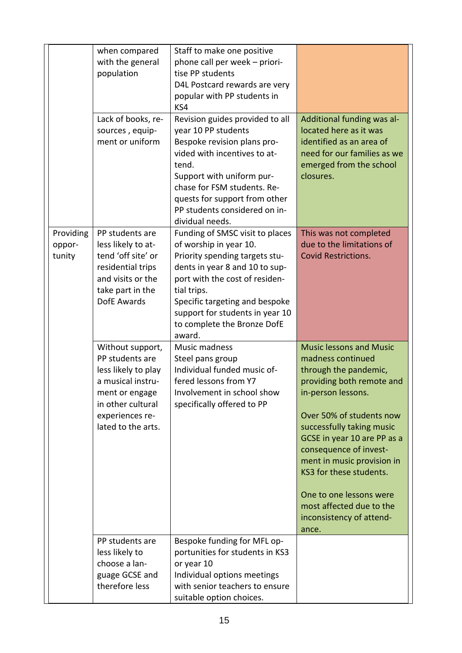|           | when compared                       | Staff to make one positive                      |                                |
|-----------|-------------------------------------|-------------------------------------------------|--------------------------------|
|           | with the general                    | phone call per week - priori-                   |                                |
|           | population                          | tise PP students                                |                                |
|           |                                     | D4L Postcard rewards are very                   |                                |
|           |                                     | popular with PP students in<br>KS4              |                                |
|           | Lack of books, re-                  | Revision guides provided to all                 | Additional funding was al-     |
|           | sources, equip-                     | year 10 PP students                             | located here as it was         |
|           | ment or uniform                     | Bespoke revision plans pro-                     | identified as an area of       |
|           |                                     | vided with incentives to at-                    | need for our families as we    |
|           |                                     | tend.                                           | emerged from the school        |
|           |                                     | Support with uniform pur-                       | closures.                      |
|           |                                     | chase for FSM students. Re-                     |                                |
|           |                                     | quests for support from other                   |                                |
|           |                                     | PP students considered on in-                   |                                |
|           |                                     | dividual needs.                                 |                                |
| Providing | PP students are                     | Funding of SMSC visit to places                 | This was not completed         |
| oppor-    | less likely to at-                  | of worship in year 10.                          | due to the limitations of      |
| tunity    | tend 'off site' or                  | Priority spending targets stu-                  | <b>Covid Restrictions.</b>     |
|           | residential trips                   | dents in year 8 and 10 to sup-                  |                                |
|           | and visits or the                   | port with the cost of residen-                  |                                |
|           | take part in the                    | tial trips.                                     |                                |
|           | DofE Awards                         | Specific targeting and bespoke                  |                                |
|           |                                     | support for students in year 10                 |                                |
|           |                                     | to complete the Bronze DofE                     |                                |
|           |                                     | award.<br>Music madness                         | <b>Music lessons and Music</b> |
|           | Without support,<br>PP students are |                                                 | madness continued              |
|           | less likely to play                 | Steel pans group<br>Individual funded music of- | through the pandemic,          |
|           | a musical instru-                   | fered lessons from Y7                           | providing both remote and      |
|           | ment or engage                      | Involvement in school show                      | in-person lessons.             |
|           | in other cultural                   | specifically offered to PP                      |                                |
|           | experiences re-                     |                                                 | Over 50% of students now       |
|           | lated to the arts.                  |                                                 | successfully taking music      |
|           |                                     |                                                 | GCSE in year 10 are PP as a    |
|           |                                     |                                                 | consequence of invest-         |
|           |                                     |                                                 | ment in music provision in     |
|           |                                     |                                                 | KS3 for these students.        |
|           |                                     |                                                 |                                |
|           |                                     |                                                 | One to one lessons were        |
|           |                                     |                                                 | most affected due to the       |
|           |                                     |                                                 | inconsistency of attend-       |
|           |                                     |                                                 | ance.                          |
|           | PP students are                     | Bespoke funding for MFL op-                     |                                |
|           | less likely to                      | portunities for students in KS3                 |                                |
|           | choose a lan-                       | or year 10                                      |                                |
|           | guage GCSE and                      | Individual options meetings                     |                                |
|           | therefore less                      | with senior teachers to ensure                  |                                |
|           |                                     |                                                 |                                |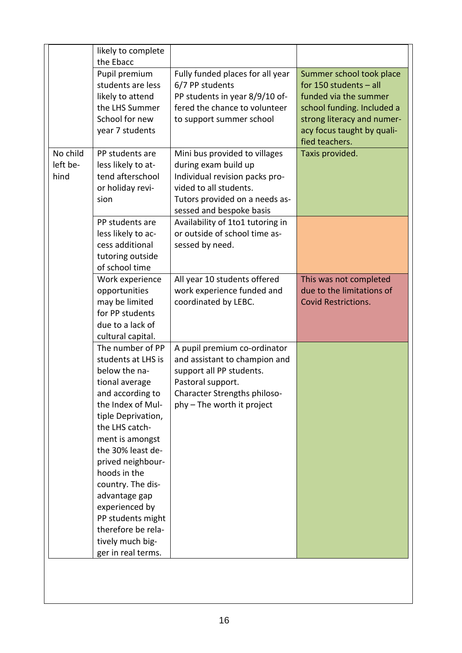|                              | likely to complete<br>the Ebacc                                                                                                                                                                                                                                                                                                                                                      |                                                                                                                                                                                                                     |                                                                                                                                                                                           |
|------------------------------|--------------------------------------------------------------------------------------------------------------------------------------------------------------------------------------------------------------------------------------------------------------------------------------------------------------------------------------------------------------------------------------|---------------------------------------------------------------------------------------------------------------------------------------------------------------------------------------------------------------------|-------------------------------------------------------------------------------------------------------------------------------------------------------------------------------------------|
|                              | Pupil premium<br>students are less<br>likely to attend<br>the LHS Summer<br>School for new<br>year 7 students                                                                                                                                                                                                                                                                        | Fully funded places for all year<br>6/7 PP students<br>PP students in year 8/9/10 of-<br>fered the chance to volunteer<br>to support summer school                                                                  | Summer school took place<br>for 150 students $-$ all<br>funded via the summer<br>school funding. Included a<br>strong literacy and numer-<br>acy focus taught by quali-<br>fied teachers. |
| No child<br>left be-<br>hind | PP students are<br>less likely to at-<br>tend afterschool<br>or holiday revi-<br>sion<br>PP students are                                                                                                                                                                                                                                                                             | Mini bus provided to villages<br>during exam build up<br>Individual revision packs pro-<br>vided to all students.<br>Tutors provided on a needs as-<br>sessed and bespoke basis<br>Availability of 1to1 tutoring in | Taxis provided.                                                                                                                                                                           |
|                              | less likely to ac-<br>cess additional<br>tutoring outside<br>of school time<br>Work experience                                                                                                                                                                                                                                                                                       | or outside of school time as-<br>sessed by need.<br>All year 10 students offered                                                                                                                                    | This was not completed                                                                                                                                                                    |
|                              | opportunities<br>may be limited<br>for PP students<br>due to a lack of<br>cultural capital.                                                                                                                                                                                                                                                                                          | work experience funded and<br>coordinated by LEBC.                                                                                                                                                                  | due to the limitations of<br><b>Covid Restrictions.</b>                                                                                                                                   |
|                              | The number of PP<br>students at LHS is<br>below the na-<br>tional average<br>and according to<br>the Index of Mul-<br>tiple Deprivation,<br>the LHS catch-<br>ment is amongst<br>the 30% least de-<br>prived neighbour-<br>hoods in the<br>country. The dis-<br>advantage gap<br>experienced by<br>PP students might<br>therefore be rela-<br>tively much big-<br>ger in real terms. | A pupil premium co-ordinator<br>and assistant to champion and<br>support all PP students.<br>Pastoral support.<br>Character Strengths philoso-<br>phy – The worth it project                                        |                                                                                                                                                                                           |
|                              |                                                                                                                                                                                                                                                                                                                                                                                      |                                                                                                                                                                                                                     |                                                                                                                                                                                           |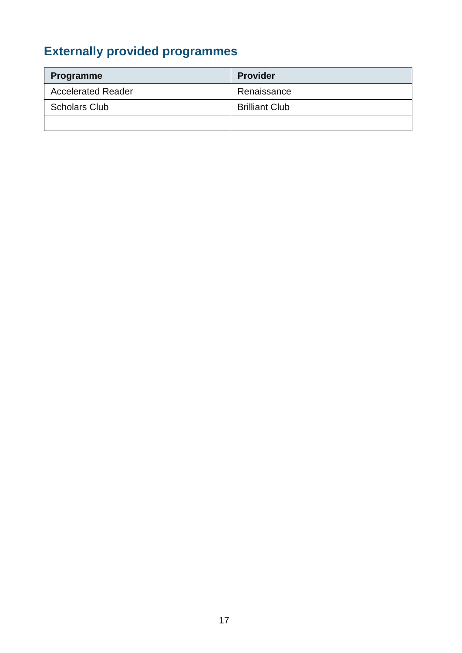# **Externally provided programmes**

| Programme                 | <b>Provider</b>       |
|---------------------------|-----------------------|
| <b>Accelerated Reader</b> | Renaissance           |
| <b>Scholars Club</b>      | <b>Brilliant Club</b> |
|                           |                       |